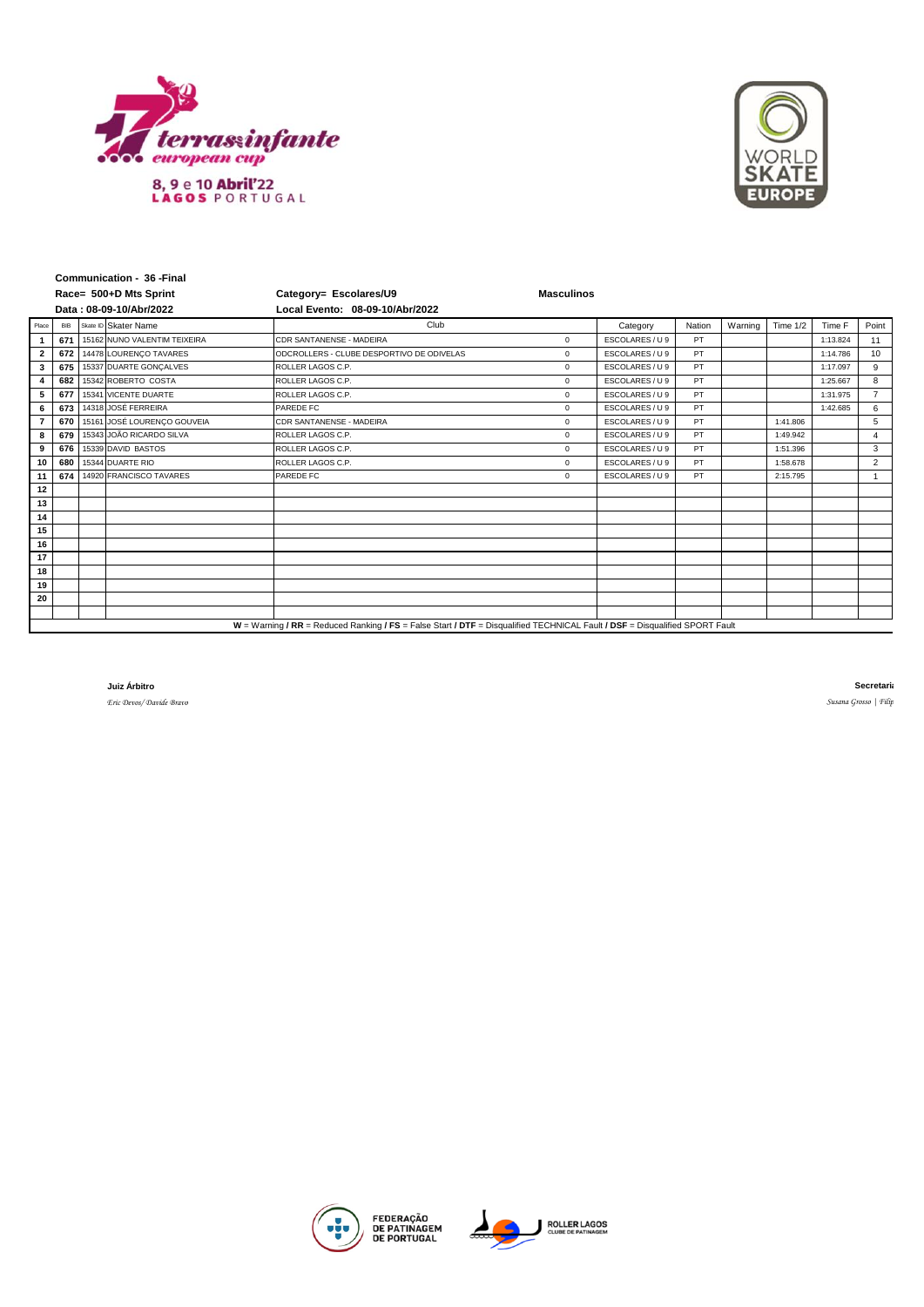



| Communication - 36 - Final                                                                                                  |            |  |                              |                                           |                   |                 |        |         |            |          |                |
|-----------------------------------------------------------------------------------------------------------------------------|------------|--|------------------------------|-------------------------------------------|-------------------|-----------------|--------|---------|------------|----------|----------------|
| Race= 500+D Mts Sprint                                                                                                      |            |  |                              | Category= Escolares/U9                    | <b>Masculinos</b> |                 |        |         |            |          |                |
| Data: 08-09-10/Abr/2022                                                                                                     |            |  |                              | Local Evento: 08-09-10/Abr/2022           |                   |                 |        |         |            |          |                |
| Place                                                                                                                       | <b>BIB</b> |  | Skate ID Skater Name         | Club                                      |                   | Category        | Nation | Warning | Time $1/2$ | Time F   | Point          |
|                                                                                                                             | 671        |  | 15162 NUNO VALENTIM TEIXEIRA | CDR SANTANENSE - MADEIRA                  | $\mathbf 0$       | ESCOLARES / U 9 | PT     |         |            | 1:13.824 | 11             |
| $\overline{2}$                                                                                                              | 672        |  | 14478 LOURENÇO TAVARES       | ODCROLLERS - CLUBE DESPORTIVO DE ODIVELAS | $\mathbf{0}$      | ESCOLARES / U 9 | PT     |         |            | 1:14.786 | 10             |
| 3                                                                                                                           | 675        |  | 15337 DUARTE GONCALVES       | ROLLER LAGOS C.P.                         | $\mathbf 0$       | ESCOLARES / U 9 | PT     |         |            | 1:17.097 | 9              |
| $\overline{\mathbf{4}}$                                                                                                     | 682        |  | 15342 ROBERTO COSTA          | ROLLER LAGOS C.P.                         | $\mathbf 0$       | ESCOLARES / U 9 | PT     |         |            | 1:25.667 | 8              |
| 5                                                                                                                           | 677        |  | 15341 VICENTE DUARTE         | ROLLER LAGOS C.P.                         | $\mathbf 0$       | ESCOLARES / U 9 | PT     |         |            | 1:31.975 | $\overline{7}$ |
| 6                                                                                                                           | 673        |  | 14318 JOSÉ FERREIRA          | PAREDE FC                                 | $\mathbf 0$       | ESCOLARES / U 9 | PT     |         |            | 1:42.685 | 6              |
|                                                                                                                             | 670        |  | 15161 JOSÉ LOURENÇO GOUVEIA  | CDR SANTANENSE - MADEIRA                  | $\mathbf{0}$      | ESCOLARES / U 9 | PT     |         | 1:41.806   |          | 5              |
| 8                                                                                                                           | 679        |  | 15343 JOÃO RICARDO SILVA     | ROLLER LAGOS C.P.                         | $\mathbf 0$       | ESCOLARES / U 9 | PT     |         | 1:49.942   |          | $\overline{4}$ |
| 9                                                                                                                           | 676        |  | 15339 DAVID BASTOS           | ROLLER LAGOS C.P.                         | $\mathbf 0$       | ESCOLARES / U 9 | PT     |         | 1:51.396   |          | 3              |
| 10                                                                                                                          | 680        |  | 15344 DUARTE RIO             | ROLLER LAGOS C.P.                         | $\mathbf{0}$      | ESCOLARES / U 9 | PT     |         | 1:58.678   |          | 2              |
| 11                                                                                                                          | 674        |  | 14920 FRANCISCO TAVARES      | <b>PAREDE FC</b>                          | $\mathbf 0$       | ESCOLARES / U 9 | PT     |         | 2:15.795   |          | $\overline{1}$ |
| 12                                                                                                                          |            |  |                              |                                           |                   |                 |        |         |            |          |                |
| 13                                                                                                                          |            |  |                              |                                           |                   |                 |        |         |            |          |                |
| 14                                                                                                                          |            |  |                              |                                           |                   |                 |        |         |            |          |                |
| 15                                                                                                                          |            |  |                              |                                           |                   |                 |        |         |            |          |                |
| 16                                                                                                                          |            |  |                              |                                           |                   |                 |        |         |            |          |                |
| 17                                                                                                                          |            |  |                              |                                           |                   |                 |        |         |            |          |                |
| 18                                                                                                                          |            |  |                              |                                           |                   |                 |        |         |            |          |                |
| 19                                                                                                                          |            |  |                              |                                           |                   |                 |        |         |            |          |                |
| 20                                                                                                                          |            |  |                              |                                           |                   |                 |        |         |            |          |                |
|                                                                                                                             |            |  |                              |                                           |                   |                 |        |         |            |          |                |
| W = Warning / RR = Reduced Ranking / FS = False Start / DTF = Disqualified TECHNICAL Fault / DSF = Disqualified SPORT Fault |            |  |                              |                                           |                   |                 |        |         |            |          |                |

**Juiz Árbitro**

*Eric Devos/ Davide Bravo*

**Secretaria**  $Susana Grosso$  | Filip